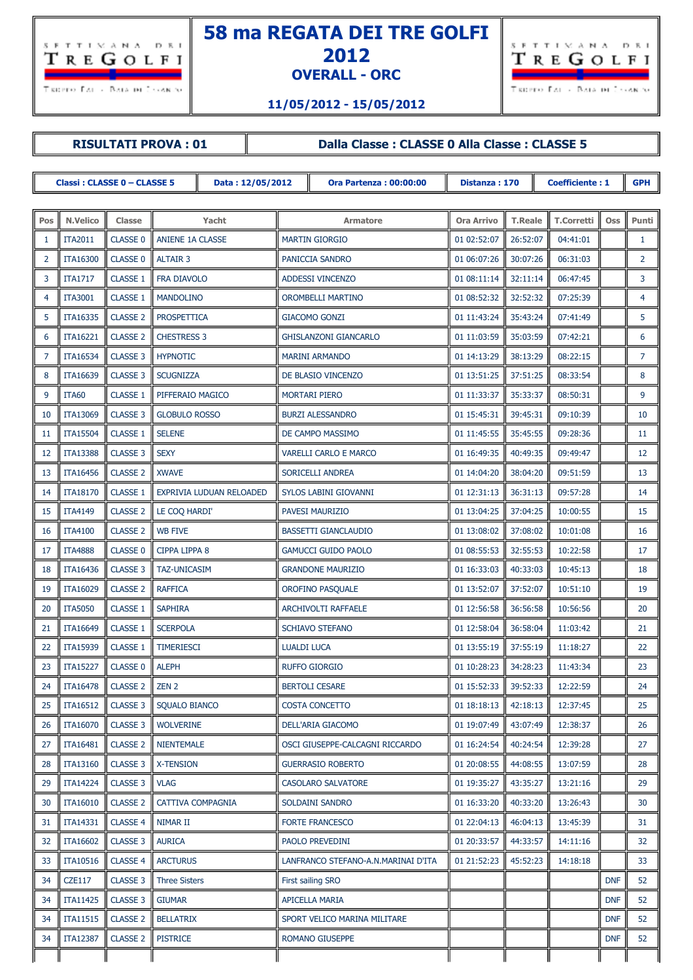

## **58 ma REGATA DEI TRE GOLFI OVERALL - ORC**



**11/05/2012 - 15/05/2012**

## **RISULTATI PROVA : 01 Dalla Classe : CLASSE 0 Alla Classe : CLASSE 5**

| <b>Classi: CLASSE 0 - CLASSE 5</b> |                 |                 |                          | Data: 12/05/2012 | <b>Ora Partenza: 00:00:00</b> |                                     | Distanza: 170     | <b>Coefficiente: 1</b> |                   |            | <b>GPH</b>     |
|------------------------------------|-----------------|-----------------|--------------------------|------------------|-------------------------------|-------------------------------------|-------------------|------------------------|-------------------|------------|----------------|
|                                    |                 |                 |                          |                  |                               |                                     |                   |                        |                   |            |                |
| Pos                                | <b>N.Velico</b> | Classe          | Yacht                    |                  | Armatore                      |                                     | <b>Ora Arrivo</b> | <b>T.Reale</b>         | <b>T.Corretti</b> | <b>Oss</b> | Punti          |
| 1                                  | <b>ITA2011</b>  | <b>CLASSE 0</b> | ANIENE 1A CLASSE         |                  | <b>MARTIN GIORGIO</b>         |                                     | 01 02:52:07       | 26:52:07               | 04:41:01          |            | $\mathbf{1}$   |
| $\overline{2}$                     | <b>ITA16300</b> | <b>CLASSE 0</b> | <b>ALTAIR 3</b>          |                  | PANICCIA SANDRO               |                                     | 01 06:07:26       | 30:07:26               | 06:31:03          |            | 2              |
| 3                                  | <b>ITA1717</b>  | <b>CLASSE 1</b> | FRA DIAVOLO              |                  | ADDESSI VINCENZO              |                                     | 01 08:11:14       | 32:11:14               | 06:47:45          |            | 3              |
| 4                                  | <b>ITA3001</b>  | <b>CLASSE 1</b> | <b>MANDOLINO</b>         |                  | OROMBELLI MARTINO             |                                     | 01 08:52:32       | 32:52:32               | 07:25:39          |            | 4              |
| 5                                  | ITA16335        | <b>CLASSE 2</b> | <b>PROSPETTICA</b>       |                  |                               | <b>GIACOMO GONZI</b>                | 01 11:43:24       | 35:43:24               | 07:41:49          |            | 5              |
| 6                                  | <b>ITA16221</b> | <b>CLASSE 2</b> | <b>CHESTRESS 3</b>       |                  |                               | <b>GHISLANZONI GIANCARLO</b>        | 01 11:03:59       | 35:03:59               | 07:42:21          |            | 6              |
| -7                                 | ITA16534        | <b>CLASSE 3</b> | <b>HYPNOTIC</b>          |                  |                               | <b>MARINI ARMANDO</b>               | 01 14:13:29       | 38:13:29               | 08:22:15          |            | $\overline{7}$ |
| 8                                  | ITA16639        | <b>CLASSE 3</b> | <b>SCUGNIZZA</b>         |                  |                               | DE BLASIO VINCENZO                  | 01 13:51:25       | 37:51:25               | 08:33:54          |            | 8              |
| 9                                  | <b>ITA60</b>    | <b>CLASSE 1</b> | PIFFERAIO MAGICO         |                  |                               | <b>MORTARI PIERO</b>                | 01 11:33:37       | 35:33:37               | 08:50:31          |            | 9              |
| 10                                 | <b>ITA13069</b> | <b>CLASSE 3</b> | <b>GLOBULO ROSSO</b>     |                  |                               | <b>BURZI ALESSANDRO</b>             | 01 15:45:31       | 39:45:31               | 09:10:39          |            | 10             |
| 11                                 | <b>ITA15504</b> | <b>CLASSE 1</b> | <b>SELENE</b>            |                  |                               | DE CAMPO MASSIMO                    | 01 11:45:55       | 35:45:55               | 09:28:36          |            | 11             |
| 12                                 | <b>ITA13388</b> | <b>CLASSE 3</b> | <b>SEXY</b>              |                  |                               | <b>VARELLI CARLO E MARCO</b>        | 01 16:49:35       | 40:49:35               | 09:49:47          |            | 12             |
| 13                                 | <b>ITA16456</b> | <b>CLASSE 2</b> | <b>XWAVE</b>             |                  |                               | SORICELLI ANDREA                    | 01 14:04:20       | 38:04:20               | 09:51:59          |            | 13             |
| 14                                 | <b>ITA18170</b> | <b>CLASSE 1</b> | EXPRIVIA LUDUAN RELOADED |                  |                               | SYLOS LABINI GIOVANNI               | 01 12:31:13       | 36:31:13               | 09:57:28          |            | 14             |
| 15                                 | <b>ITA4149</b>  | <b>CLASSE 2</b> | LE COQ HARDI'            |                  |                               | PAVESI MAURIZIO                     | 01 13:04:25       | 37:04:25               | 10:00:55          |            | 15             |
| 16                                 | <b>ITA4100</b>  | <b>CLASSE 2</b> | <b>WB FIVE</b>           |                  |                               | <b>BASSETTI GIANCLAUDIO</b>         | 01 13:08:02       | 37:08:02               | 10:01:08          |            | 16             |
| 17                                 | <b>ITA4888</b>  | <b>CLASSE 0</b> | <b>CIPPA LIPPA 8</b>     |                  |                               | <b>GAMUCCI GUIDO PAOLO</b>          | 01 08:55:53       | 32:55:53               | 10:22:58          |            | 17             |
| 18                                 | ITA16436        | <b>CLASSE 3</b> | <b>TAZ-UNICASIM</b>      |                  |                               | <b>GRANDONE MAURIZIO</b>            | 01 16:33:03       | 40:33:03               | 10:45:13          |            | 18             |
| 19                                 | <b>ITA16029</b> | <b>CLASSE 2</b> | <b>RAFFICA</b>           |                  |                               | OROFINO PASQUALE                    | 01 13:52:07       | 37:52:07               | 10:51:10          |            | 19             |
| 20                                 | <b>ITA5050</b>  | <b>CLASSE 1</b> | <b>SAPHIRA</b>           |                  |                               | ARCHIVOLTI RAFFAELE                 | 01 12:56:58       | 36:56:58               | 10:56:56          |            | 20             |
| 21                                 | <b>ITA16649</b> | <b>CLASSE 1</b> | <b>SCERPOLA</b>          |                  |                               | SCHIAVO STEFANO                     | 01 12:58:04       | 36:58:04               | 11:03:42          |            | 21             |
| 22                                 | ITA15939        | <b>CLASSE 1</b> | <b>TIMERIESCI</b>        |                  | <b>LUALDI LUCA</b>            |                                     | 01 13:55:19       | 37:55:19               | 11:18:27          |            | 22             |
| 23                                 | <b>ITA15227</b> | <b>CLASSE 0</b> | <b>ALEPH</b>             |                  |                               | <b>RUFFO GIORGIO</b>                | 01 10:28:23       | 34:28:23               | 11:43:34          |            | 23             |
| 24                                 | <b>ITA16478</b> | <b>CLASSE 2</b> | ZEN <sub>2</sub>         |                  |                               | <b>BERTOLI CESARE</b>               | 01 15:52:33       | 39:52:33               | 12:22:59          |            | 24             |
| 25                                 | <b>ITA16512</b> | <b>CLASSE 3</b> | <b>SQUALO BIANCO</b>     |                  |                               | <b>COSTA CONCETTO</b>               | 01 18:18:13       | 42:18:13               | 12:37:45          |            | 25             |
| 26                                 | <b>ITA16070</b> | CLASSE 3        | <b>WOLVERINE</b>         |                  |                               | DELL'ARIA GIACOMO                   | 01 19:07:49       | 43:07:49               | 12:38:37          |            | 26             |
| 27                                 | ITA16481        | <b>CLASSE 2</b> | <b>NIENTEMALE</b>        |                  |                               | OSCI GIUSEPPE-CALCAGNI RICCARDO     | 01 16:24:54       | 40:24:54               | 12:39:28          |            | 27             |
| 28                                 | <b>ITA13160</b> | CLASSE 3        | <b>X-TENSION</b>         |                  |                               | <b>GUERRASIO ROBERTO</b>            | 01 20:08:55       | 44:08:55               | 13:07:59          |            | 28             |
| 29                                 | <b>ITA14224</b> | <b>CLASSE 3</b> | <b>VLAG</b>              |                  |                               | <b>CASOLARO SALVATORE</b>           | 01 19:35:27       | 43:35:27               | 13:21:16          |            | 29             |
| 30                                 | <b>ITA16010</b> | <b>CLASSE 2</b> | CATTIVA COMPAGNIA        |                  |                               | SOLDAINI SANDRO                     | 01 16:33:20       | 40:33:20               | 13:26:43          |            | 30             |
| 31                                 | <b>ITA14331</b> | <b>CLASSE 4</b> | NIMAR II                 |                  |                               | <b>FORTE FRANCESCO</b>              | 01 22:04:13       | 46:04:13               | 13:45:39          |            | 31             |
| 32                                 | <b>ITA16602</b> | CLASSE 3        | <b>AURICA</b>            |                  |                               | PAOLO PREVEDINI                     | 01 20:33:57       | 44:33:57               | 14:11:16          |            | 32             |
| 33                                 | <b>ITA10516</b> | <b>CLASSE 4</b> | <b>ARCTURUS</b>          |                  |                               | LANFRANCO STEFANO-A.N.MARINAI D'ITA | 01 21:52:23       | 45:52:23               | 14:18:18          |            | 33             |
| 34                                 | <b>CZE117</b>   | CLASSE 3        | <b>Three Sisters</b>     |                  |                               | First sailing SRO                   |                   |                        |                   | <b>DNF</b> | 52             |
| 34                                 | <b>ITA11425</b> | <b>CLASSE 3</b> | <b>GIUMAR</b>            |                  |                               | <b>APICELLA MARIA</b>               |                   |                        |                   | <b>DNF</b> | 52             |
| 34                                 | <b>ITA11515</b> | <b>CLASSE 2</b> | <b>BELLATRIX</b>         |                  |                               | SPORT VELICO MARINA MILITARE        |                   |                        |                   | <b>DNF</b> | 52             |
| 34                                 | <b>ITA12387</b> | <b>CLASSE 2</b> | <b>PISTRICE</b>          |                  |                               | ROMANO GIUSEPPE                     |                   |                        |                   | <b>DNF</b> | 52             |
|                                    |                 |                 |                          |                  |                               |                                     |                   |                        |                   |            |                |